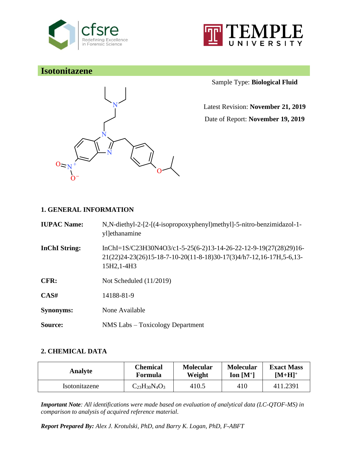



# **Isotonitazene**



Sample Type: **Biological Fluid**

Latest Revision: **November 21, 2019**

Date of Report: **November 19, 2019**

# **1. GENERAL INFORMATION**

| <b>IUPAC Name:</b>   | N,N-diethyl-2-[2-[(4-isopropoxyphenyl)methyl]-5-nitro-benzimidazol-1-<br>yl]ethanamine                                                                   |
|----------------------|----------------------------------------------------------------------------------------------------------------------------------------------------------|
| <b>InChI</b> String: | $InChI=1S/C23H30N4O3/c1-5-25(6-2)13-14-26-22-12-9-19(27(28)29)16-$<br>21(22)24-23(26)15-18-7-10-20(11-8-18)30-17(3)4/h7-12,16-17H,5-6,13-<br>15H2, 1-4H3 |
| CFR:                 | Not Scheduled $(11/2019)$                                                                                                                                |
| CAS#                 | 14188-81-9                                                                                                                                               |
| <b>Synonyms:</b>     | None Available                                                                                                                                           |
| Source:              | NMS Labs – Toxicology Department                                                                                                                         |

## **2. CHEMICAL DATA**

| Analyte       | <b>Chemical</b>          | <b>Molecular</b> | <b>Molecular</b> | <b>Exact Mass</b> |
|---------------|--------------------------|------------------|------------------|-------------------|
|               | Formula                  | Weight           | Ion $[M^+]$      | $[M+H]^+$         |
| Isotonitazene | $C_{23}H_{30}N_{4}O_{3}$ | 410.5            | 410              | 411.2391          |

*Important Note: All identifications were made based on evaluation of analytical data (LC-QTOF-MS) in comparison to analysis of acquired reference material.*

*Report Prepared By: Alex J. Krotulski, PhD, and Barry K. Logan, PhD, F-ABFT*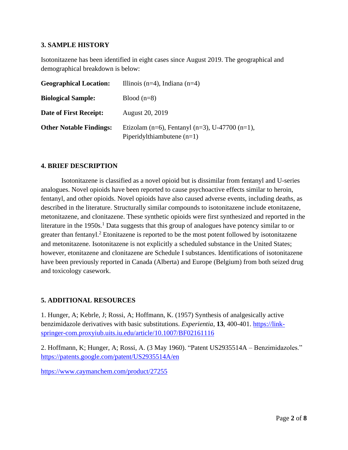### **3. SAMPLE HISTORY**

Isotonitazene has been identified in eight cases since August 2019. The geographical and demographical breakdown is below:

| <b>Geographical Location:</b>  | Illinois (n=4), Indiana (n=4)                                                  |
|--------------------------------|--------------------------------------------------------------------------------|
| <b>Biological Sample:</b>      | Blood $(n=8)$                                                                  |
| Date of First Receipt:         | August 20, 2019                                                                |
| <b>Other Notable Findings:</b> | Etizolam (n=6), Fentanyl (n=3), U-47700 (n=1),<br>Piperidylthiambutene $(n=1)$ |

### **4. BRIEF DESCRIPTION**

Isotonitazene is classified as a novel opioid but is dissimilar from fentanyl and U-series analogues. Novel opioids have been reported to cause psychoactive effects similar to heroin, fentanyl, and other opioids. Novel opioids have also caused adverse events, including deaths, as described in the literature. Structurally similar compounds to isotonitazene include etonitazene, metonitazene, and clonitazene. These synthetic opioids were first synthesized and reported in the literature in the 1950s.<sup>1</sup> Data suggests that this group of analogues have potency similar to or greater than fentanyl.<sup>2</sup> Etonitazene is reported to be the most potent followed by isotonitazene and metonitazene. Isotonitazene is not explicitly a scheduled substance in the United States; however, etonitazene and clonitazene are Schedule I substances. Identifications of isotonitazene have been previously reported in Canada (Alberta) and Europe (Belgium) from both seized drug and toxicology casework.

#### **5. ADDITIONAL RESOURCES**

1. Hunger, A; Kebrle, J; Rossi, A; Hoffmann, K. (1957) Synthesis of analgesically active benzimidazole derivatives with basic substitutions. *Experientia*, **13**, 400-401. [https://link](https://link-springer-com.proxyiub.uits.iu.edu/article/10.1007/BF02161116)[springer-com.proxyiub.uits.iu.edu/article/10.1007/BF02161116](https://link-springer-com.proxyiub.uits.iu.edu/article/10.1007/BF02161116)

2. Hoffmann, K; Hunger, A; Rossi, A. (3 May 1960). "Patent US2935514A – Benzimidazoles." <https://patents.google.com/patent/US2935514A/en>

<https://www.caymanchem.com/product/27255>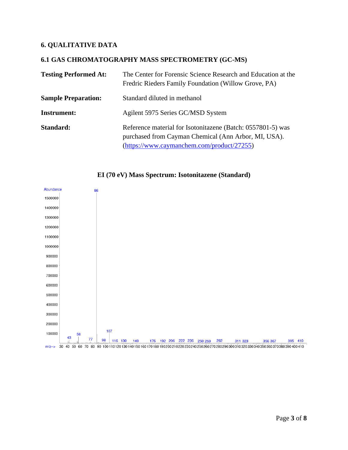# **6. QUALITATIVE DATA**

#### **6.1 GAS CHROMATOGRAPHY MASS SPECTROMETRY (GC-MS)**

| <b>Testing Performed At:</b> | The Center for Forensic Science Research and Education at the<br>Fredric Rieders Family Foundation (Willow Grove, PA)                                             |
|------------------------------|-------------------------------------------------------------------------------------------------------------------------------------------------------------------|
| <b>Sample Preparation:</b>   | Standard diluted in methanol                                                                                                                                      |
| <b>Instrument:</b>           | Agilent 5975 Series GC/MSD System                                                                                                                                 |
| Standard:                    | Reference material for Isotonitazene (Batch: 0557801-5) was<br>purchased from Cayman Chemical (Ann Arbor, MI, USA).<br>(https://www.caymanchem.com/product/27255) |



### **EI (70 eV) Mass Spectrum: Isotonitazene (Standard)**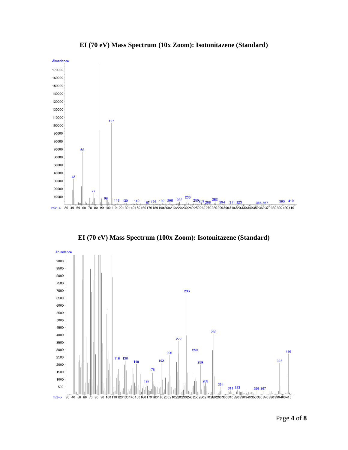

**EI (70 eV) Mass Spectrum (10x Zoom): Isotonitazene (Standard)**

**EI (70 eV) Mass Spectrum (100x Zoom): Isotonitazene (Standard)**

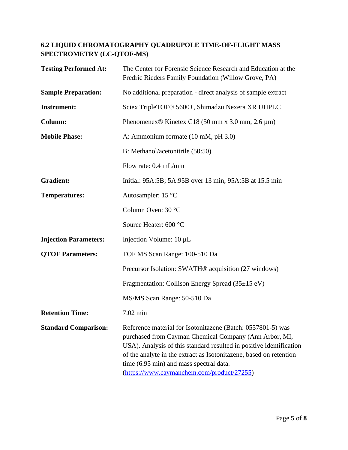# **6.2 LIQUID CHROMATOGRAPHY QUADRUPOLE TIME-OF-FLIGHT MASS SPECTROMETRY (LC-QTOF-MS)**

| <b>Testing Performed At:</b> | The Center for Forensic Science Research and Education at the<br>Fredric Rieders Family Foundation (Willow Grove, PA)                                                                                                                                                                                                                                       |
|------------------------------|-------------------------------------------------------------------------------------------------------------------------------------------------------------------------------------------------------------------------------------------------------------------------------------------------------------------------------------------------------------|
| <b>Sample Preparation:</b>   | No additional preparation - direct analysis of sample extract                                                                                                                                                                                                                                                                                               |
| <b>Instrument:</b>           | Sciex TripleTOF® 5600+, Shimadzu Nexera XR UHPLC                                                                                                                                                                                                                                                                                                            |
| Column:                      | Phenomenex <sup>®</sup> Kinetex C18 (50 mm x 3.0 mm, 2.6 $\mu$ m)                                                                                                                                                                                                                                                                                           |
| <b>Mobile Phase:</b>         | A: Ammonium formate (10 mM, pH 3.0)                                                                                                                                                                                                                                                                                                                         |
|                              | B: Methanol/acetonitrile (50:50)                                                                                                                                                                                                                                                                                                                            |
|                              | Flow rate: 0.4 mL/min                                                                                                                                                                                                                                                                                                                                       |
| <b>Gradient:</b>             | Initial: 95A:5B; 5A:95B over 13 min; 95A:5B at 15.5 min                                                                                                                                                                                                                                                                                                     |
| <b>Temperatures:</b>         | Autosampler: 15 °C                                                                                                                                                                                                                                                                                                                                          |
|                              | Column Oven: 30 °C                                                                                                                                                                                                                                                                                                                                          |
|                              | Source Heater: 600 °C                                                                                                                                                                                                                                                                                                                                       |
| <b>Injection Parameters:</b> | Injection Volume: 10 µL                                                                                                                                                                                                                                                                                                                                     |
| <b>QTOF Parameters:</b>      | TOF MS Scan Range: 100-510 Da                                                                                                                                                                                                                                                                                                                               |
|                              | Precursor Isolation: SWATH <sup>®</sup> acquisition (27 windows)                                                                                                                                                                                                                                                                                            |
|                              | Fragmentation: Collison Energy Spread (35±15 eV)                                                                                                                                                                                                                                                                                                            |
|                              | MS/MS Scan Range: 50-510 Da                                                                                                                                                                                                                                                                                                                                 |
| <b>Retention Time:</b>       | 7.02 min                                                                                                                                                                                                                                                                                                                                                    |
| <b>Standard Comparison:</b>  | Reference material for Isotonitazene (Batch: 0557801-5) was<br>purchased from Cayman Chemical Company (Ann Arbor, MI,<br>USA). Analysis of this standard resulted in positive identification<br>of the analyte in the extract as Isotonitazene, based on retention<br>time (6.95 min) and mass spectral data.<br>(https://www.caymanchem.com/product/27255) |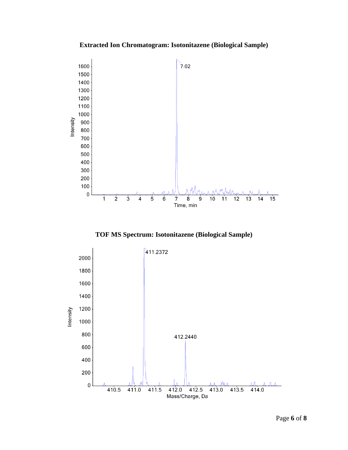**Extracted Ion Chromatogram: Isotonitazene (Biological Sample)**



**TOF MS Spectrum: Isotonitazene (Biological Sample)**

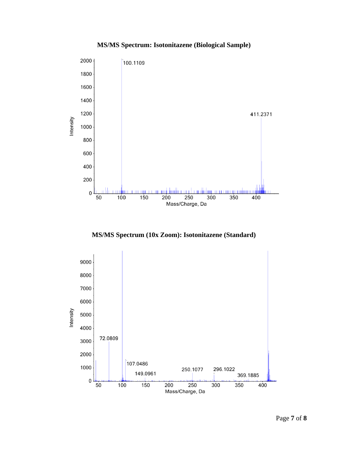# **MS/MS Spectrum: Isotonitazene (Biological Sample)**



**MS/MS Spectrum (10x Zoom): Isotonitazene (Standard)**